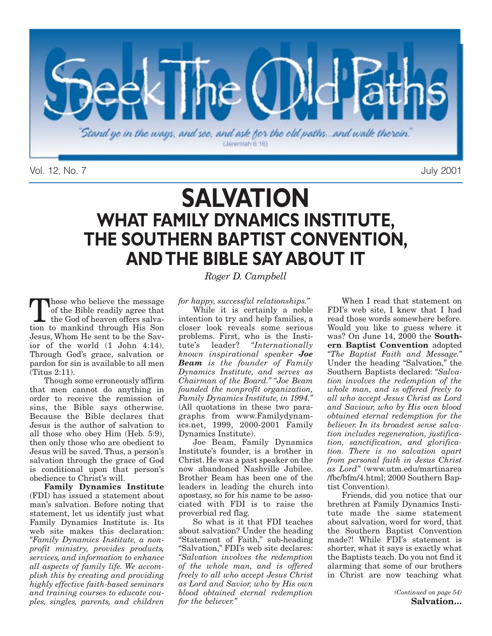

Vol. 12, No. 7 July 2001

## **SALVATION WHAT FAMILY DYNAMICS INSTITUTE, THE SOUTHERN BAPTIST CONVENTION, AND THE BIBLE SAY ABOUT IT**

Those who believe the message of the Bible readily agree that the God of heaven offers salvation to mankind through His Son Jesus, Whom He sent to be the Savior of the world (1 John 4:14). Through God's grace, salvation or pardon for sin is available to all men (Titus 2:11).

Though some erroneously affirm that men cannot do anything in order to receive the remission of sins, the Bible says otherwise. Because the Bible declares that Jesus is the author of salvation to all those who obey Him (Heb. 5:9), then only those who are obedient to Jesus will be saved. Thus, a person's salvation through the grace of God is conditional upon that person's obedience to Christ's will.

**Family Dynamics Institute** (FDI) has issued a statement about man's salvation. Before noting that statement, let us identify just what Family Dynamics Institute is. Its web site makes this declaration: *"Family Dynamics Institute, a nonprofit ministry, provides products, services, and information to enhance all aspects of family life. We accomplish this by creating and providing highly effective faith-based seminars and training courses to educate couples, singles, parents, and children* *Roger D. Campbell* 

*for happy, successful relationships."*

While it is certainly a noble intention to try and help families, a closer look reveals some serious problems. First, who is the Institute's leader? "Internationally tute's leader? *"Internationally known inspirational speaker Joe Beam is the founder of Family Dynamics Institute, and serves as Chairman of the Board." "Joe Beam founded the nonprofit organization, Family Dynamics Institute, in 1994."* (All quotations in these two paragraphs from www.Familydynamics.net, 1999, 2000-2001 Family Dynamics Institute).

Joe Beam, Family Dynamics Institute's founder, is a brother in Christ. He was a past speaker on the now abandoned Nashville Jubilee. Brother Beam has been one of the leaders in leading the church into apostasy, so for his name to be associated with FDI is to raise the proverbial red flag.

So what is it that FDI teaches about salvation? Under the heading "Statement of Faith," sub-heading "Salvation," FDI's web site declares: *"Salvation involves the redemption of the whole man, and is offered freely to all who accept Jesus Christ as Lord and Savior, who by His own blood obtained eternal redemption for the believer."*

When I read that statement on FDI's web site, I knew that I had read those words somewhere before. Would you like to guess where it was? On June 14, 2000 the **Southern Baptist Convention** adopted *"The Baptist Faith and Message."* Under the heading "Salvation," the Southern Baptists declared: *"Salvation involves the redemption of the whole man, and is offered freely to all who accept Jesus Christ as Lord and Saviour, who by His own blood obtained eternal redemption for the believer. In its broadest sense salvation includes regeneration, justification, sanctification, and glorification. There is no salvation apart from personal faith in Jesus Christ as Lord"* (www.utm.edu/martinarea /fbc/bfm/4.html; 2000 Southern Baptist Convention).

Friends, did you notice that our brethren at Family Dynamics Institute made the same statement about salvation, word for word, that the Southern Baptist Convention made?! While FDI's statement is shorter, what it says is exactly what the Baptists teach. Do you not find it alarming that some of our brothers in Christ are now teaching what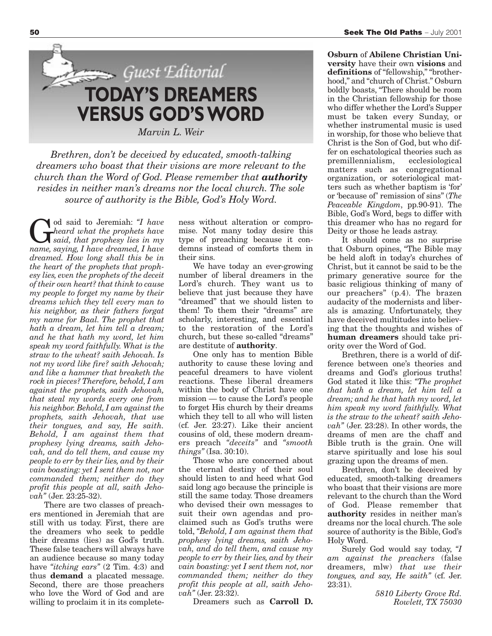

*Brethren, don't be deceived by educated, smooth-talking dreamers who boast that their visions are more relevant to the church than the Word of God. Please remember that authority resides in neither man's dreams nor the local church. The sole source of authority is the Bible, God's Holy Word.*

God said to Jeremiah: *"I have*<br>*heard what the prophets have*<br>*name squing I have dramed I have heard what the prophets have name, saying, I have dreamed, I have dreamed. How long shall this be in the heart of the prophets that prophesy lies, even the prophets of the deceit of their own heart? that think to cause my people to forget my name by their dreams which they tell every man to his neighbor, as their fathers forgat my name for Baal. The prophet that hath a dream, let him tell a dream; and he that hath my word, let him speak my word faithfully. What is the straw to the wheat? saith Jehovah. Is not my word like fire? saith Jehovah; and like a hammer that breaketh the rock in pieces? Therefore, behold, I am against the prophets, saith Jehovah, that steal my words every one from his neighbor. Behold, I am against the prophets, saith Jehovah, that use their tongues, and say, He saith. Behold, I am against them that prophesy lying dreams, saith Jehovah, and do tell them, and cause my people to err by their lies, and by their vain boasting: yet I sent them not, nor commanded them; neither do they profit this people at all, saith Jehovah"* (Jer. 23:25-32).

There are two classes of preachers mentioned in Jeremiah that are still with us today. First, there are the dreamers who seek to peddle their dreams (lies) as God's truth. These false teachers will always have an audience because so many today have *"itching ears"* (2 Tim. 4:3) and thus **demand** a placated message. Second, there are those preachers who love the Word of God and are willing to proclaim it in its completeness without alteration or compromise. Not many today desire this type of preaching because it condemns instead of comforts them in their sins.

We have today an ever-growing number of liberal dreamers in the Lord's church. They want us to believe that just because they have "dreamed" that we should listen to them! To them their "dreams" are scholarly, interesting, and essential to the restoration of the Lord's church, but these so-called "dreams" are destitute of **authority**.

One only has to mention Bible authority to cause these loving and peaceful dreamers to have violent reactions. These liberal dreamers within the body of Christ have one mission — to cause the Lord's people to forget His church by their dreams which they tell to all who will listen (cf. Jer. 23:27). Like their ancient cousins of old, these modern dreamers preach *"deceits"* and *"smooth things"* (Isa. 30:10).

Those who are concerned about the eternal destiny of their soul should listen to and heed what God said long ago because the principle is still the same today. Those dreamers who devised their own messages to suit their own agendas and proclaimed such as God's truths were told, *"Behold, I am against them that prophesy lying dreams, saith Jehovah, and do tell them, and cause my people to err by their lies, and by their vain boasting: yet I sent them not, nor commanded them; neither do they profit this people at all, saith Jehovah"* (Jer. 23:32).

Dreamers such as **Carroll D.**

**Osburn** of **Abilene Christian University** have their own **visions** and **definitions** of "fellowship," "brotherhood," and "church of Christ." Osburn boldly boasts, "There should be room in the Christian fellowship for those who differ whether the Lord's Supper must be taken every Sunday, or whether instrumental music is used in worship, for those who believe that Christ is the Son of God, but who differ on eschatological theories such as premillennialism, ecclesiological matters such as congregational organization, or soteriological matters such as whether baptism is 'for' or 'because of' remission of sins" (*The Peaceable Kingdom*, pp.90-91). The Bible, God's Word, begs to differ with this dreamer who has no regard for Deity or those he leads astray.

It should come as no surprise that Osburn opines, "The Bible may be held aloft in today's churches of Christ, but it cannot be said to be the primary generative source for the basic religious thinking of many of our preachers" (p.4). The brazen audacity of the modernists and liberals is amazing. Unfortunately, they have deceived multitudes into believing that the thoughts and wishes of **human dreamers** should take priority over the Word of God.

Brethren, there is a world of difference between one's theories and dreams and God's glorious truths! God stated it like this: *"The prophet that hath a dream, let him tell a dream; and he that hath my word, let him speak my word faithfully. What is the straw to the wheat? saith Jehovah"* (Jer. 23:28). In other words, the dreams of men are the chaff and Bible truth is the grain. One will starve spiritually and lose his soul grazing upon the dreams of men.

Brethren, don't be deceived by educated, smooth-talking dreamers who boast that their visions are more relevant to the church than the Word of God. Please remember that **authority** resides in neither man's dreams nor the local church. The sole source of authority is the Bible, God's Holy Word.

Surely God would say today, *"I am against the preachers* (false dreamers, mlw) *that use their tongues, and say, He saith"* (cf. Jer. 23:31).

> *5810 Liberty Grove Rd. Rowlett, TX 75030*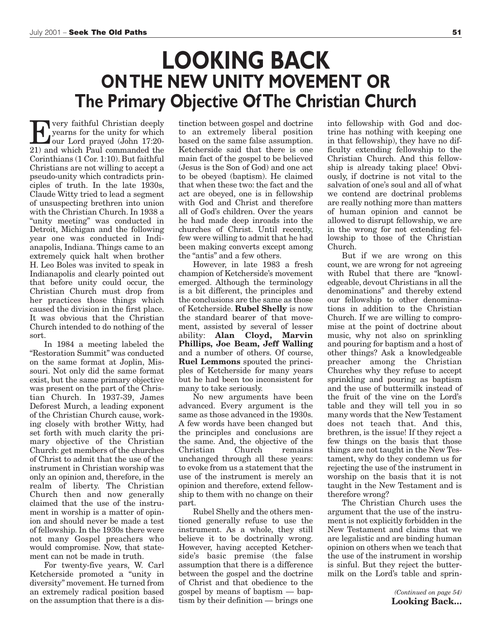## **LOOKING BACK ON THE NEW UNITY MOVEMENT OR The Primary Objective Of The Christian Church**

For very faithful Christian deeply<br>yearns for the unity for which<br>our Lord prayed (John 17:20-<br>21) and which Paul commanded the yearns for the unity for which our Lord prayed (John 17:20- 21) and which Paul commanded the Corinthians (1 Cor. 1:10). But faithful Christians are not willing to accept a pseudo-unity which contradicts principles of truth. In the late 1930s, Claude Witty tried to lead a segment of unsuspecting brethren into union with the Christian Church. In 1938 a "unity meeting" was conducted in Detroit, Michigan and the following year one was conducted in Indianapolis, Indiana. Things came to an extremely quick halt when brother H. Leo Boles was invited to speak in Indianapolis and clearly pointed out that before unity could occur, the Christian Church must drop from her practices those things which caused the division in the first place. It was obvious that the Christian Church intended to do nothing of the sort.

In 1984 a meeting labeled the "Restoration Summit" was conducted on the same format at Joplin, Missouri. Not only did the same format exist, but the same primary objective was present on the part of the Christian Church. In 1937-39, James Deforest Murch, a leading exponent of the Christian Church cause, working closely with brother Witty, had set forth with much clarity the primary objective of the Christian Church: get members of the churches of Christ to admit that the use of the instrument in Christian worship was only an opinion and, therefore, in the realm of liberty. The Christian Church then and now generally claimed that the use of the instrument in worship is a matter of opinion and should never be made a test of fellowship. In the 1930s there were not many Gospel preachers who would compromise. Now, that statement can not be made in truth.

For twenty-five years, W. Carl Ketcherside promoted a "unity in diversity" movement. He turned from an extremely radical position based on the assumption that there is a distinction between gospel and doctrine to an extremely liberal position based on the same false assumption. Ketcherside said that there is one main fact of the gospel to be believed (Jesus is the Son of God) and one act to be obeyed (baptism). He claimed that when these two: the fact and the act are obeyed, one is in fellowship with God and Christ and therefore all of God's children. Over the years he had made deep inroads into the churches of Christ. Until recently, few were willing to admit that he had been making converts except among the "antis" and a few others.

However, in late 1983 a fresh champion of Ketcherside's movement emerged. Although the terminology is a bit different, the principles and the conclusions are the same as those of Ketcherside. **Rubel Shelly** is now the standard bearer of that movement, assisted by several of lesser ability: **Alan Cloyd, Marvin Phillips, Joe Beam, Jeff Walling** and a number of others. Of course, **Ruel Lemmons** spouted the principles of Ketcherside for many years but he had been too inconsistent for many to take seriously.

No new arguments have been advanced. Every argument is the same as those advanced in the 1930s. A few words have been changed but the principles and conclusions are the same. And, the objective of the<br>Christian Church remains Christian Church remains unchanged through all these years: to evoke from us a statement that the use of the instrument is merely an opinion and therefore, extend fellowship to them with no change on their part.

Rubel Shelly and the others mentioned generally refuse to use the instrument. As a whole, they still believe it to be doctrinally wrong. However, having accepted Ketcherside's basic premise (the false assumption that there is a difference between the gospel and the doctrine of Christ and that obedience to the gospel by means of baptism — baptism by their definition — brings one

into fellowship with God and doctrine has nothing with keeping one in that fellowship), they have no difficulty extending fellowship to the Christian Church. And this fellowship is already taking place! Obviously, if doctrine is not vital to the salvation of one's soul and all of what we contend are doctrinal problems are really nothing more than matters of human opinion and cannot be allowed to disrupt fellowship, we are in the wrong for not extending fellowship to those of the Christian Church.

But if we are wrong on this count, we are wrong for not agreeing with Rubel that there are "knowledgeable, devout Christians in all the denominations" and thereby extend our fellowship to other denominations in addition to the Christian Church. If we are willing to compromise at the point of doctrine about music, why not also on sprinkling and pouring for baptism and a host of other things? Ask a knowledgeable preacher among the Christian Churches why they refuse to accept sprinkling and pouring as baptism and the use of buttermilk instead of the fruit of the vine on the Lord's table and they will tell you in so many words that the New Testament does not teach that. And this, brethren, is the issue! If they reject a few things on the basis that those things are not taught in the New Testament, why do they condemn us for rejecting the use of the instrument in worship on the basis that it is not taught in the New Testament and is therefore wrong?

The Christian Church uses the argument that the use of the instrument is not explicitly forbidden in the New Testament and claims that we are legalistic and are binding human opinion on others when we teach that the use of the instrument in worship is sinful. But they reject the buttermilk on the Lord's table and sprin-

> *(Continued on page 54)* **Looking Back…**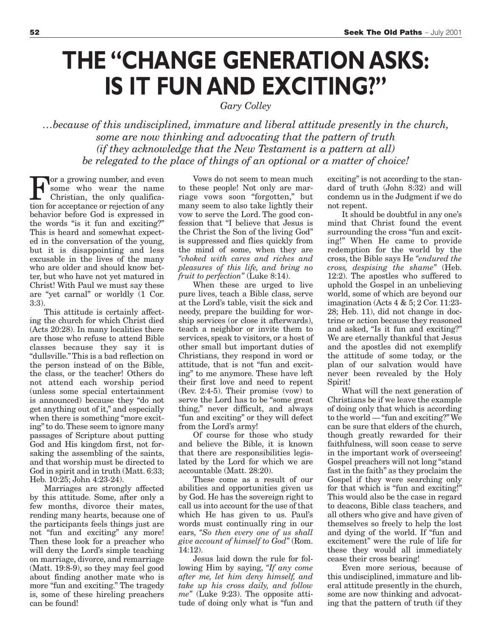# **THE "CHANGE GENERATION ASKS: IS IT FUN AND EXCITING?"**

*Gary Colley*

*…because of this undisciplined, immature and liberal attitude presently in the church, some are now thinking and advocating that the pattern of truth (if they acknowledge that the New Testament is a pattern at all) be relegated to the place of things of an optional or a matter of choice!* 

For a growing number, and even<br>
some who wear the name<br>
Christian, the only qualifica-<br>
tion for accontance or rejection of any some who wear the name Christian, the only qualification for acceptance or rejection of any behavior before God is expressed in the words "is it fun and exciting?" This is heard and somewhat expected in the conversation of the young, but it is disappointing and less excusable in the lives of the many who are older and should know better, but who have not yet matured in Christ! With Paul we must say these are "yet carnal" or worldly (1 Cor. 3:3).

This attitude is certainly affecting the church for which Christ died (Acts 20:28). In many localities there are those who refuse to attend Bible classes because they say it is "dullsville." This is a bad reflection on the person instead of on the Bible, the class, or the teacher! Others do not attend each worship period (unless some special entertainment is announced) because they "do not get anything out of it," and especially when there is something "more exciting" to do. These seem to ignore many passages of Scripture about putting God and His kingdom first, not forsaking the assembling of the saints, and that worship must be directed to God in spirit and in truth (Matt. 6:33; Heb. 10:25; John 4:23-24).

Marriages are strongly affected by this attitude. Some, after only a few months, divorce their mates, rending many hearts, because one of the participants feels things just are not "fun and exciting" any more! Then these look for a preacher who will deny the Lord's simple teaching on marriage, divorce, and remarriage (Matt. 19:8-9), so they may feel good about finding another mate who is more "fun and exciting." The tragedy is, some of these hireling preachers can be found!

Vows do not seem to mean much to these people! Not only are marriage vows soon "forgotten," but many seem to also take lightly their vow to serve the Lord. The good confession that "I believe that Jesus is the Christ the Son of the living God" is suppressed and flies quickly from the mind of some, when they are *"choked with cares and riches and pleasures of this life, and bring no fruit to perfection"* (Luke 8:14).

When these are urged to live pure lives, teach a Bible class, serve at the Lord's table, visit the sick and needy, prepare the building for worship services (or close it afterwards), teach a neighbor or invite them to services, speak to visitors, or a host of other small but important duties of Christians, they respond in word or attitude, that is not "fun and exciting" to me anymore. These have left their first love and need to repent (Rev. 2:4-5). Their promise (vow) to serve the Lord has to be "some great thing," never difficult, and always "fun and exciting" or they will defect from the Lord's army!

Of course for those who study and believe the Bible, it is known that there are responsibilities legislated by the Lord for which we are accountable (Matt. 28:20).

These come as a result of our abilities and opportunities given us by God. He has the sovereign right to call us into account for the use of that which He has given to us. Paul's words must continually ring in our ears, *"So then every one of us shall give account of himself to God"* (Rom. 14:12).

Jesus laid down the rule for following Him by saying, *"If any come after me, let him deny himself, and take up his cross daily, and follow me"* (Luke 9:23). The opposite attitude of doing only what is "fun and exciting" is not according to the standard of truth (John 8:32) and will condemn us in the Judgment if we do not repent.

It should be doubtful in any one's mind that Christ found the event surrounding the cross "fun and exciting!" When He came to provide redemption for the world by the cross, the Bible says He *"endured the cross, despising the shame"* (Heb. 12:2). The apostles who suffered to uphold the Gospel in an unbelieving world, some of which are beyond our imagination (Acts 4 & 5; 2 Cor. 11:23- 28; Heb. 11), did not change in doctrine or action because they reasoned and asked, "Is it fun and exciting?" We are eternally thankful that Jesus and the apostles did not exemplify the attitude of some today, or the plan of our salvation would have never been revealed by the Holy Spirit!

What will the next generation of Christians be if we leave the example of doing only that which is according to the world — "fun and exciting?" We can be sure that elders of the church, though greatly rewarded for their faithfulness, will soon cease to serve in the important work of overseeing! Gospel preachers will not long "stand fast in the faith" as they proclaim the Gospel if they were searching only for that which is "fun and exciting!" This would also be the case in regard to deacons, Bible class teachers, and all others who give and have given of themselves so freely to help the lost and dying of the world. If "fun and excitement" were the rule of life for these they would all immediately cease their cross bearing!

Even more serious, because of this undisciplined, immature and liberal attitude presently in the church, some are now thinking and advocating that the pattern of truth (if they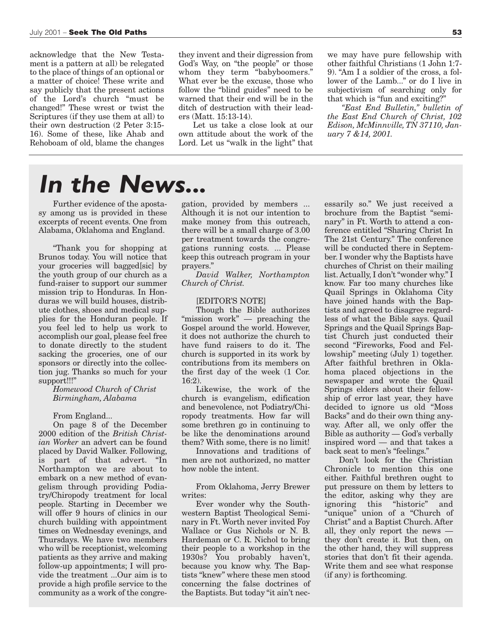acknowledge that the New Testament is a pattern at all) be relegated to the place of things of an optional or a matter of choice! These write and say publicly that the present actions of the Lord's church "must be changed!" These wrest or twist the Scriptures (if they use them at all) to their own destruction (2 Peter 3:15- 16). Some of these, like Ahab and Rehoboam of old, blame the changes they invent and their digression from God's Way, on "the people" or those whom they term "babyboomers." What ever be the excuse, those who follow the "blind guides" need to be warned that their end will be in the ditch of destruction with their leaders (Matt. 15:13-14).

Let us take a close look at our own attitude about the work of the Lord. Let us "walk in the light" that

we may have pure fellowship with other faithful Christians (1 John 1:7- 9). "Am I a soldier of the cross, a follower of the Lamb..." or do I live in subjectivism of searching only for that which is "fun and exciting?"

*"East End Bulletin," bulletin of the East End Church of Christ, 102 Edison, McMinnville, TN 37110, January 7 &14, 2001.*

## *In the News...*

Further evidence of the apostasy among us is provided in these excerpts of recent events. One from Alabama, Oklahoma and England.

"Thank you for shopping at Brunos today. You will notice that your groceries will bagged[sic] by the youth group of our church as a fund-raiser to support our summer mission trip to Honduras. In Honduras we will build houses, distribute clothes, shoes and medical supplies for the Honduran people. If you feel led to help us work to accomplish our goal, please feel free to donate directly to the student sacking the groceries, one of our sponsors or directly into the collection jug. Thanks so much for your support!!!"

### *Homewood Church of Christ Birmingham, Alabama*

#### From England...

On page 8 of the December 2000 edition of the *British Christian Worker* an advert can be found placed by David Walker. Following, is part of that advert. "In Northampton we are about to embark on a new method of evangelism through providing Podiatry/Chiropody treatment for local people. Starting in December we will offer 9 hours of clinics in our church building with appointment times on Wednesday evenings, and Thursdays. We have two members who will be receptionist, welcoming patients as they arrive and making follow-up appointments; I will provide the treatment ...Our aim is to provide a high profile service to the community as a work of the congregation, provided by members ... Although it is not our intention to make money from this outreach, there will be a small charge of 3.00 per treatment towards the congregations running costs. ... Please keep this outreach program in your prayers."

*David Walker, Northampton Church of Christ.*

#### [EDITOR'S NOTE]

Though the Bible authorizes "mission work" — preaching the Gospel around the world. However, it does not authorize the church to have fund raisers to do it. The church is supported in its work by contributions from its members on the first day of the week (1 Cor. 16:2).

Likewise, the work of the church is evangelism, edification and benevolence, not Podiatry/Chiropody treatments. How far will some brethren go in continuing to be like the denominations around them? With some, there is no limit!

Innovations and traditions of men are not authorized, no matter how noble the intent.

From Oklahoma, Jerry Brewer writes:

Ever wonder why the Southwestern Baptist Theological Seminary in Ft. Worth never invited Foy Wallace or Gus Nichols or N. B. Hardeman or C. R. Nichol to bring their people to a workshop in the 1930s? You probably haven't, because you know why. The Baptists "knew" where these men stood concerning the false doctrines of the Baptists. But today "it ain't necessarily so." We just received a brochure from the Baptist "seminary" in Ft. Worth to attend a conference entitled "Sharing Christ In The 21st Century." The conference will be conducted there in September. I wonder why the Baptists have churches of Christ on their mailing list. Actually, I don't "wonder why." I know. Far too many churches like Quail Springs in Oklahoma City have joined hands with the Baptists and agreed to disagree regardless of what the Bible says. Quail Springs and the Quail Springs Baptist Church just conducted their second "Fireworks, Food and Fellowship" meeting (July 1) together. After faithful brethren in Oklahoma placed objections in the newspaper and wrote the Quail Springs elders about their fellowship of error last year, they have decided to ignore us old "Moss Backs" and do their own thing anyway. After all, we only offer the Bible as authority — God's verbally inspired word — and that takes a back seat to men's "feelings."

Don't look for the Christian Chronicle to mention this one either. Faithful brethren ought to put pressure on them by letters to the editor, asking why they are ignoring this "historic" and "unique" union of a "Church of Christ" and a Baptist Church. After all, they only report the news they don't create it. But then, on the other hand, they will suppress stories that don't fit their agenda. Write them and see what response (if any) is forthcoming.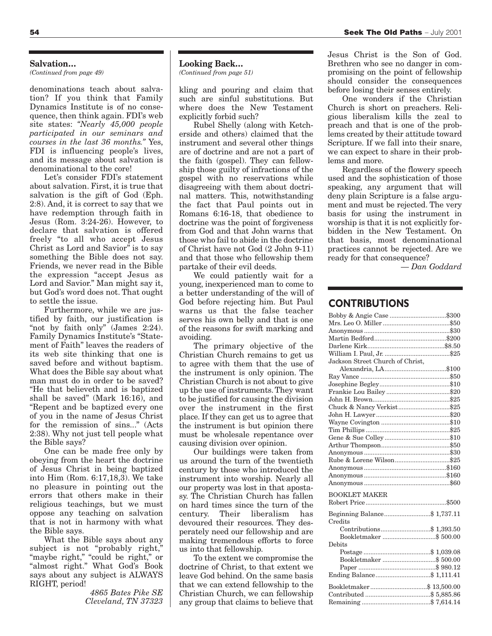#### **Salvation…**

*(Continued from page 49)*

denominations teach about salvation? If you think that Family Dynamics Institute is of no consequence, then think again. FDI's web site states: *"Nearly 45,000 people participated in our seminars and courses in the last 36 months."* Yes, FDI is influencing people's lives, and its message about salvation is denominational to the core!

Let's consider FDI's statement about salvation. First, it is true that salvation is the gift of God (Eph. 2:8). And, it is correct to say that we have redemption through faith in Jesus (Rom. 3:24-26). However, to declare that salvation is offered freely "to all who accept Jesus Christ as Lord and Savior" is to say something the Bible does not say. Friends, we never read in the Bible the expression "accept Jesus as Lord and Savior." Man might say it, but God's word does not. That ought to settle the issue.

Furthermore, while we are justified by faith, our justification is "not by faith only" (James 2:24). Family Dynamics Institute's "Statement of Faith" leaves the readers of its web site thinking that one is saved before and without baptism. What does the Bible say about what man must do in order to be saved? "He that believeth and is baptized shall be saved" (Mark 16:16), and "Repent and be baptized every one of you in the name of Jesus Christ for the remission of sins..." (Acts 2:38). Why not just tell people what the Bible says?

One can be made free only by obeying from the heart the doctrine of Jesus Christ in being baptized into Him (Rom. 6:17,18,3). We take no pleasure in pointing out the errors that others make in their religious teachings, but we must oppose any teaching on salvation that is not in harmony with what the Bible says.

What the Bible says about any subject is not "probably right," "maybe right," "could be right," or "almost right." What God's Book says about any subject is ALWAYS RIGHT, period!

*4865 Bates Pike SE Cleveland, TN 37323*

#### **Looking Back…**

*(Continued from page 51)*

kling and pouring and claim that such are sinful substitutions. But where does the New Testament explicitly forbid such?

Rubel Shelly (along with Ketcherside and others) claimed that the instrument and several other things are of doctrine and are not a part of the faith (gospel). They can fellowship those guilty of infractions of the gospel with no reservations while disagreeing with them about doctrinal matters. This, notwithstanding the fact that Paul points out in Romans 6:16-18, that obedience to doctrine was the point of forgiveness from God and that John warns that those who fail to abide in the doctrine of Christ have not God (2 John 9-11) and that those who fellowship them partake of their evil deeds.

We could patiently wait for a young, inexperienced man to come to a better understanding of the will of God before rejecting him. But Paul warns us that the false teacher serves his own belly and that is one of the reasons for swift marking and avoiding.

The primary objective of the Christian Church remains to get us to agree with them that the use of the instrument is only opinion. The Christian Church is not about to give up the use of instruments. They want to be justified for causing the division over the instrument in the first place. If they can get us to agree that the instrument is but opinion there must be wholesale repentance over causing division over opinion.

Our buildings were taken from us around the turn of the twentieth century by those who introduced the instrument into worship. Nearly all our property was lost in that apostasy. The Christian Church has fallen on hard times since the turn of the century. Their liberalism has devoured their resources. They desperately need our fellowship and are making tremendous efforts to force us into that fellowship.

To the extent we compromise the doctrine of Christ, to that extent we leave God behind. On the same basis that we can extend fellowship to the Christian Church, we can fellowship any group that claims to believe that Jesus Christ is the Son of God. Brethren who see no danger in compromising on the point of fellowship should consider the consequences before losing their senses entirely.

One wonders if the Christian Church is short on preachers. Religious liberalism kills the zeal to preach and that is one of the problems created by their attitude toward Scripture. If we fall into their snare, we can expect to share in their problems and more.

Regardless of the flowery speech used and the sophistication of those speaking, any argument that will deny plain Scripture is a false argument and must be rejected. The very basis for using the instrument in worship is that it is not explicitly forbidden in the New Testament. On that basis, most denominational practices cannot be rejected. Are we ready for that consequence?

*— Dan Goddard*

## **CONTRIBUTIONS**

| Bobby & Angie Case \$300         |  |
|----------------------------------|--|
|                                  |  |
|                                  |  |
|                                  |  |
|                                  |  |
|                                  |  |
| Jackson Street Church of Christ, |  |
|                                  |  |
|                                  |  |
|                                  |  |
|                                  |  |
|                                  |  |
| Chuck & Nancy Verkist\$25        |  |
|                                  |  |
|                                  |  |
|                                  |  |
|                                  |  |
|                                  |  |
|                                  |  |
|                                  |  |
|                                  |  |
|                                  |  |
|                                  |  |
| <b>BOOKLET MAKER</b>             |  |
|                                  |  |
| Beginning Balance\$ 1,737.11     |  |
| Credits                          |  |
|                                  |  |
|                                  |  |
| Debits                           |  |
|                                  |  |
|                                  |  |
|                                  |  |
| Ending Balance\$ 1,111.41        |  |
|                                  |  |
|                                  |  |
|                                  |  |
|                                  |  |
|                                  |  |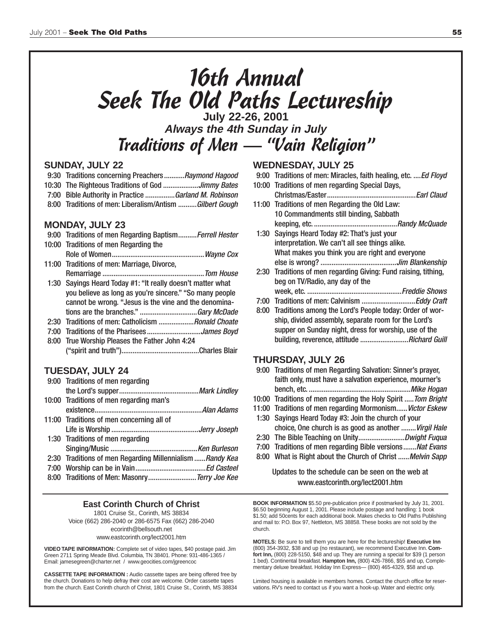# 16th Annual Seek The Old Paths Lectureship **July 22-26, 2001**

**Always the 4th Sunday in July** Traditions of Men — "Vain Religion"

## **SUNDAY, JULY 22**

- 9:30 Traditions concerning Preachers...........Raymond Hagood
- 10:30 The Righteous Traditions of God ...................Jimmy Bates
- 7:00 Bible Authority in Practice ................Garland M. Robinson
- 8:00 Traditions of men: Liberalism/Antism ..........Gilbert Gough

### **MONDAY, JULY 23**

| 9:00 Traditions of men Regarding Baptism Ferrell Hester     |
|-------------------------------------------------------------|
| 10:00 Traditions of men Regarding the                       |
|                                                             |
| 11:00 Traditions of men: Marriage, Divorce,                 |
|                                                             |
| 1:30 Sayings Heard Today #1: "It really doesn't matter what |
| you believe as long as you're sincere." "So many people     |
| cannot be wrong. "Jesus is the vine and the denomina-       |
|                                                             |
| 2:30 Traditions of men: Catholicism Ronald Choate           |
|                                                             |
| 8:00 True Worship Pleases the Father John 4:24              |
|                                                             |

## **TUESDAY, JULY 24**

| 9:00 Traditions of men regarding                         |  |
|----------------------------------------------------------|--|
|                                                          |  |
| 10:00 Traditions of men regarding man's                  |  |
|                                                          |  |
| 11:00 Traditions of men concerning all of                |  |
|                                                          |  |
| 1:30 Traditions of men regarding                         |  |
|                                                          |  |
| 2:30 Traditions of men Regarding Millennialism Randy Kea |  |
|                                                          |  |
| 8:00 Traditions of Men: Masonry Terry Joe Kee            |  |

#### **East Corinth Church of Christ** 1801 Cruise St., Corinth, MS 38834 Voice (662) 286-2040 or 286-6575 Fax (662) 286-2040 ecorinth@bellsouth.net

www.eastcorinth.org/lect2001.htm

**VIDEO TAPE INFORMATION:** Complete set of video tapes, \$40 postage paid. Jim Green 2711 Spring Meade Blvd. Columbia, TN 38401. Phone: 931-486-1365 / Email: jamesegreen@charter.net / www.geocities.com/jgreencoc

**CASSETTE TAPE INFORMATION :** Audio cassette tapes are being offered free by the church. Donations to help defray their cost are welcome. Order cassette tapes from the church. East Corinth church of Christ, 1801 Cruise St., Corinth, MS 38834

## **WEDNESDAY, JULY 25**

- 9:00 Traditions of men: Miracles, faith healing, etc. .... Ed Floyd
- 10:00 Traditions of men regarding Special Days, Christmas/Easter................................................Earl Claud
- 11:00 Traditions of men Regarding the Old Law: 10 Commandments still binding, Sabbath keeping, etc. .............................................Randy McQuade
- 1:30 Sayings Heard Today #2: That's just your interpretation. We can't all see things alike. What makes you think you are right and everyone else is wrong? .........................................Jim Blankenship
- 2:30 Traditions of men regarding Giving: Fund raising, tithing, beg on TV/Radio, any day of the week, etc. ...................................................Freddie Shows
	-
- 7:00 Traditions of men: Calvinism .............................Eddy Craft
- 8:00 Traditions among the Lord's People today: Order of worship, divided assembly, separate room for the Lord's supper on Sunday night, dress for worship, use of the building, reverence, attitude ............................Richard Guill

## **THURSDAY, JULY 26**

- 9:00 Traditions of men Regarding Salvation: Sinner's prayer, faith only, must have a salvation experience, mourner's bench, etc. .......................................................Mike Hogan 10:00 Traditions of men regarding the Holy Spirit ..... Tom Bright 11:00 Traditions of men regarding Mormonism...... Victor Eskew
- 1:30 Sayings Heard Today #3: Join the church of your
- choice, One church is as good as another ........Virgil Hale
- 2:30 The Bible Teaching on Unity..................................Dwight Fuqua
- 7:00 Traditions of men regarding Bible versions.......Nat Evans
- 8:00 What is Right about the Church of Christ ...... Melvin Sapp

### Updates to the schedule can be seen on the web at www.eastcorinth.org/lect2001.htm

**BOOK INFORMATION** \$5.50 pre-publication price if postmarked by July 31, 2001. \$6.50 beginning August 1, 2001. Please include postage and handling: 1 book \$1.50; add 50cents for each additional book. Makes checks to Old Paths Publishing and mail to: P.O. Box 97, Nettleton, MS 38858. These books are not sold by the church.

**MOTELS:** Be sure to tell them you are here for the lectureship! **Executive Inn** (800) 354-3932, \$38 and up (no restaurant), we recommend Executive Inn. **Comfort Inn,** (800) 228-5150, \$48 and up. They are running a special for \$39 (1 person 1 bed). Continental breakfast. **Hampton Inn,** (800) 426-7866, \$55 and up, Complementary deluxe breakfast. Holiday Inn Express— (800) 465-4329, \$58 and up.

Limited housing is available in members homes. Contact the church office for reservations. RV's need to contact us if you want a hook-up. Water and electric only.